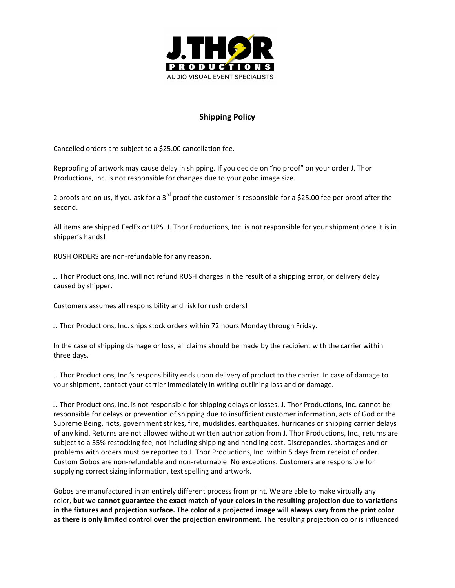

## **Shipping Policy**

Cancelled orders are subject to a \$25.00 cancellation fee.

Reproofing of artwork may cause delay in shipping. If you decide on "no proof" on your order J. Thor Productions, Inc. is not responsible for changes due to your gobo image size.

2 proofs are on us, if you ask for a  $3^{\text{rd}}$  proof the customer is responsible for a \$25.00 fee per proof after the second.

All items are shipped FedEx or UPS. J. Thor Productions, Inc. is not responsible for your shipment once it is in shipper's hands!

RUSH ORDERS are non-refundable for any reason.

J. Thor Productions, Inc. will not refund RUSH charges in the result of a shipping error, or delivery delay caused by shipper.

Customers assumes all responsibility and risk for rush orders!

J. Thor Productions, Inc. ships stock orders within 72 hours Monday through Friday.

In the case of shipping damage or loss, all claims should be made by the recipient with the carrier within three days.

J. Thor Productions, Inc.'s responsibility ends upon delivery of product to the carrier. In case of damage to your shipment, contact your carrier immediately in writing outlining loss and or damage.

J. Thor Productions, Inc. is not responsible for shipping delays or losses. J. Thor Productions, Inc. cannot be responsible for delays or prevention of shipping due to insufficient customer information, acts of God or the Supreme Being, riots, government strikes, fire, mudslides, earthquakes, hurricanes or shipping carrier delays of any kind. Returns are not allowed without written authorization from J. Thor Productions, Inc., returns are subject to a 35% restocking fee, not including shipping and handling cost. Discrepancies, shortages and or problems with orders must be reported to J. Thor Productions, Inc. within 5 days from receipt of order. Custom Gobos are non-refundable and non-returnable. No exceptions. Customers are responsible for supplying correct sizing information, text spelling and artwork.

Gobos are manufactured in an entirely different process from print. We are able to make virtually any color, but we cannot guarantee the exact match of your colors in the resulting projection due to variations in the fixtures and projection surface. The color of a projected image will always vary from the print color as there is only limited control over the projection environment. The resulting projection color is influenced